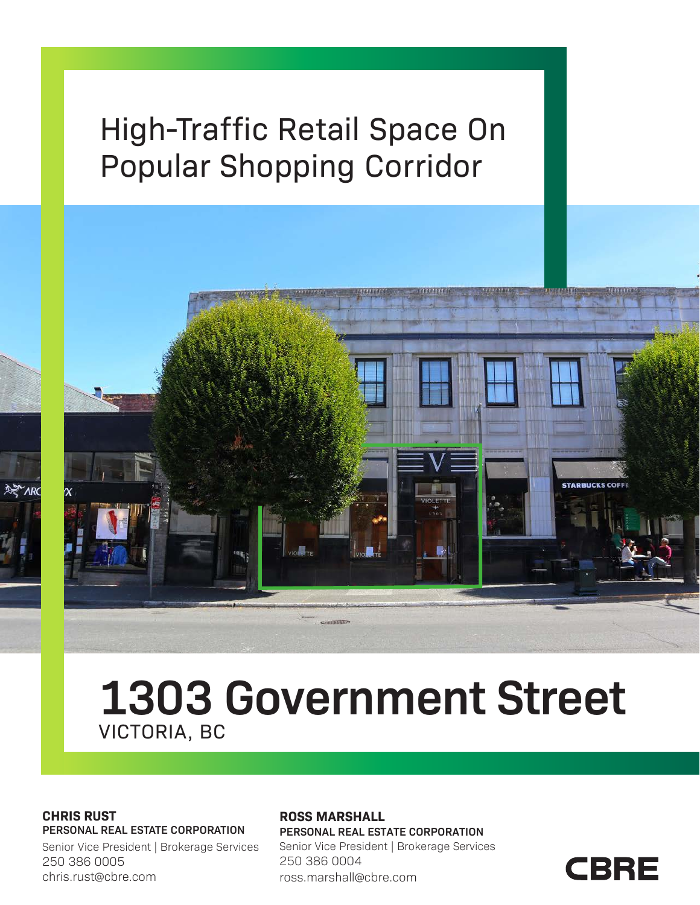# High-Traffic Retail Space On Popular Shopping Corridor



## **1303 Government Street** VICTORIA, BC

#### **CHRIS RUST PERSONAL REAL ESTATE CORPORATION**

Senior Vice President | Brokerage Services 250 386 0005 chris.rust@cbre.com

#### **ROSS MARSHALL**

**PERSONAL REAL ESTATE CORPORATION** Senior Vice President | Brokerage Services 250 386 0004 ross.marshall@cbre.com

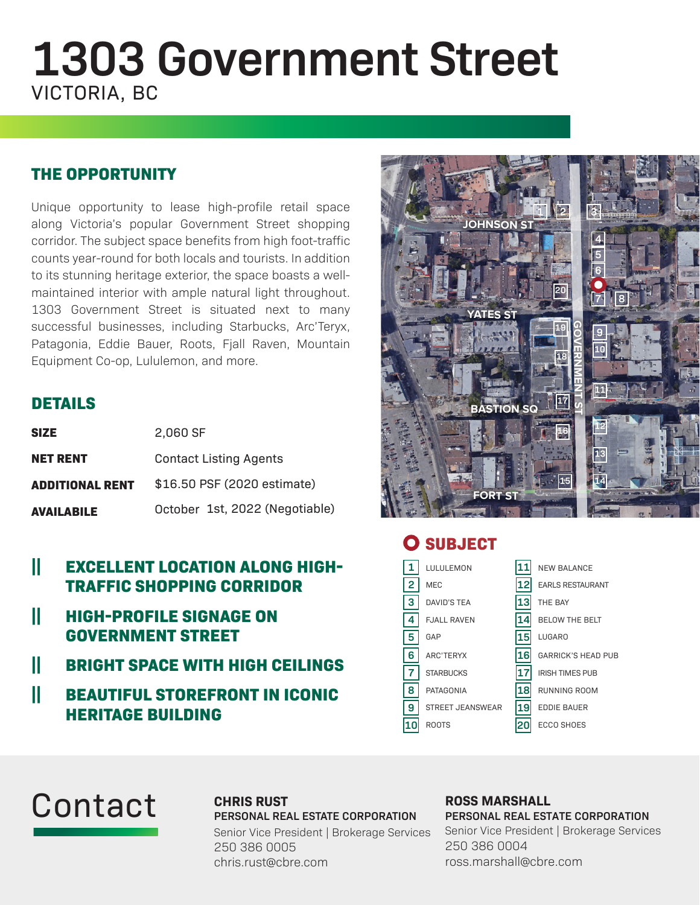# **1303 Government Street** VICTORIA, BC

## **THE OPPORTUNITY**

Unique opportunity to lease high-profile retail space along Victoria's popular Government Street shopping corridor. The subject space benefits from high foot-traffic counts year-round for both locals and tourists. In addition to its stunning heritage exterior, the space boasts a wellmaintained interior with ample natural light throughout. 1303 Government Street is situated next to many successful businesses, including Starbucks, Arc'Teryx, Patagonia, Eddie Bauer, Roots, Fjall Raven, Mountain Equipment Co-op, Lululemon, and more.

## **DETAILS**

| <b>SIZE</b>            | 2,060 SF                       |  |
|------------------------|--------------------------------|--|
| <b>NET RENT</b>        | <b>Contact Listing Agents</b>  |  |
| <b>ADDITIONAL RENT</b> | \$16.50 PSF (2020 estimate)    |  |
| <b>AVAILABILE</b>      | October 1st, 2022 (Negotiable) |  |

### **|| EXCELLENT LOCATION ALONG HIGH-TRAFFIC SHOPPING CORRIDOR**

- **|| HIGH-PROFILE SIGNAGE ON GOVERNMENT STREET**
- **|| BRIGHT SPACE WITH HIGH CEILINGS**
- **|| BEAUTIFUL STOREFRONT IN ICONIC HERITAGE BUILDING**



## **O** SUBJECT

| 1              | LULULEMON               | 11 | <b>NEW BALANCE</b>        |
|----------------|-------------------------|----|---------------------------|
| $\overline{2}$ | <b>MEC</b>              | 12 | <b>EARLS RESTAURANT</b>   |
| 3              | <b>DAVID'S TEA</b>      | 13 | THE BAY                   |
| 4              | <b>FJALL RAVEN</b>      | 14 | <b>BELOW THE BELT</b>     |
| 5              | GAP                     | 15 | <b>LUGARO</b>             |
| 6              | ARC'TERYX               | 16 | <b>GARRICK'S HEAD PUB</b> |
| $\overline{7}$ | <b>STARBUCKS</b>        | 17 | <b>IRISH TIMES PUB</b>    |
| 8              | PATAGONIA               | 18 | RUNNING ROOM              |
| 9              | <b>STREET JEANSWEAR</b> | 19 | <b>EDDIE BAUER</b>        |
| 10             | <b>ROOTS</b>            | 20 | <b>ECCO SHOES</b>         |
|                |                         |    |                           |

# Contact

#### **CHRIS RUST PERSONAL REAL ESTATE CORPORATION**

Senior Vice President | Brokerage Services 250 386 0005 chris.rust@cbre.com

#### **ROSS MARSHALL PERSONAL REAL ESTATE CORPORATION** Senior Vice President | Brokerage Services 250 386 0004 ross.marshall@cbre.com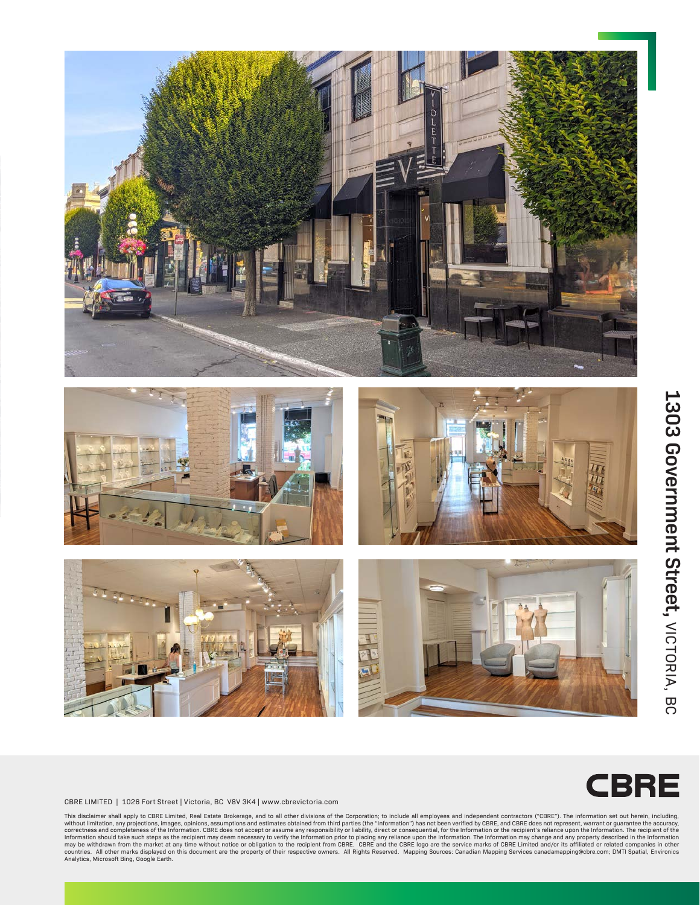



# 1303 Government Street, VICTORIA, BC **1303 Government Street, VICTORIA, BC**

## CBRE

CBRE LIMITED | 1026 Fort Street | Victoria, BC V8V 3K4 | www.cbrevictoria.com

This disclaimer shall apply to CBRE Limited, Real Estate Brokerage, and to all other divisions of the Corporation; to include all employees and independent contractors ("CBRE"). The information set out herein, including,<br>w Information should take such steps as the recipient may deem necessary to verify the Information prior to placing any reliance upon the Information. The Information may change and any property described in the Information<br> Analytics, Microsoft Bing, Google Earth.